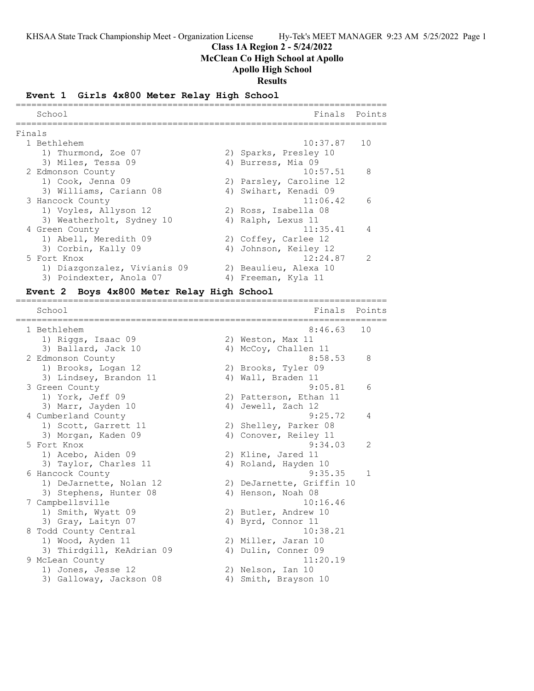### **Class 1A Region 2 - 5/24/2022**

**McClean Co High School at Apollo**

# **Apollo High School**

**Results**

### **Event 1 Girls 4x800 Meter Relay High School**

|        | School                       | Finals Points           |                |
|--------|------------------------------|-------------------------|----------------|
| Finals |                              |                         |                |
|        | 1 Bethlehem                  | $10:37.87$ 10           |                |
|        | 1) Thurmond, Zoe 07          | 2) Sparks, Presley 10   |                |
|        | 3) Miles, Tessa 09           | 4) Burress, Mia 09      |                |
|        | 2 Edmonson County            | 10:57.51                | 8              |
|        | 1) Cook, Jenna 09            | 2) Parsley, Caroline 12 |                |
|        | 3) Williams, Cariann 08      | 4) Swihart, Kenadi 09   |                |
|        | 3 Hancock County             | 11:06.42                | $\epsilon$     |
|        | 1) Voyles, Allyson 12        | 2) Ross, Isabella 08    |                |
|        | 3) Weatherholt, Sydney 10    | 4) Ralph, Lexus 11      |                |
|        | 4 Green County               | 11:35.41                | $\overline{4}$ |
|        | 1) Abell, Meredith 09        | 2) Coffey, Carlee 12    |                |
|        | 3) Corbin, Kally 09          | 4) Johnson, Keiley 12   |                |
|        | 5 Fort Knox                  | 12:24.87                | $\mathcal{P}$  |
|        | 1) Diazgonzalez, Vivianis 09 | 2) Beaulieu, Alexa 10   |                |
|        | 3) Poindexter, Anola 07      | 4) Freeman, Kyla 11     |                |

#### **Event 2 Boys 4x800 Meter Relay High School**

======================================================================= School **Finals** Points ======================================================================= 1 Bethlehem 8:46.63 10 1) Riggs, Isaac 09 2) Weston, Max 11 3) Ballard, Jack 10 4) McCoy, Challen 11 2 Edmonson County 8:58.53 8 1) Brooks, Logan 12 2) Brooks, Tyler 09 3) Lindsey, Brandon 11 (4) Wall, Braden 11 3 Green County 9:05.81 6 1) York, Jeff 09 2) Patterson, Ethan 11 3) Marr, Jayden 10 4) Jewell, Zach 12 4 Cumberland County 9:25.72 4 1) Scott, Garrett 11 2) Shelley, Parker 08 3) Morgan, Kaden 09 4) Conover, Reiley 11 5 Fort Knox 9:34.03 2 1) Acebo, Aiden 09 2) Kline, Jared 11 3) Taylor, Charles 11 (4) Roland, Hayden 10 6 Hancock County 9:35.35 1 1) DeJarnette, Nolan 12 2) DeJarnette, Griffin 10 3) Stephens, Hunter 08 (4) Henson, Noah 08 7 Campbellsville 10:16.46 1) Smith, Wyatt 09 2) Butler, Andrew 10 3) Gray, Laityn 07 (4) Byrd, Connor 11 8 Todd County Central 20:38.21 1) Wood, Ayden 11 2) Miller, Jaran 10 3) Thirdgill, KeAdrian 09 4) Dulin, Conner 09 9 McLean County 11:20.19 1) Jones, Jesse 12 2) Nelson, Ian 10 3) Galloway, Jackson 08 (4) Smith, Brayson 10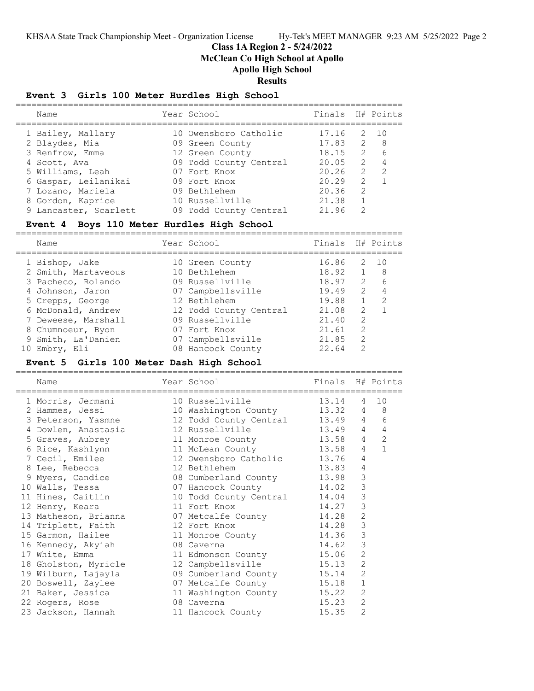# **Class 1A Region 2 - 5/24/2022**

**McClean Co High School at Apollo**

# **Apollo High School**

# **Results**

# **Event 3 Girls 100 Meter Hurdles High School**

| Name                  | Year School            | Finals H# Points |                |              |
|-----------------------|------------------------|------------------|----------------|--------------|
| 1 Bailey, Mallary     | 10 Owensboro Catholic  | 17.16            |                | $2 \quad 10$ |
| 2 Blaydes, Mia        | 09 Green County        | 17.83            |                | $2 \t 8$     |
| 3 Renfrow, Emma       | 12 Green County        | 18.15            |                | $2 \quad 6$  |
| 4 Scott, Ava          | 09 Todd County Central | 20.05            |                | $2 \quad 4$  |
| 5 Williams, Leah      | 07 Fort Knox           | 20.26            | $\overline{2}$ | -2           |
| 6 Gaspar, Leilanikai  | 09 Fort Knox           | 20.29            | $\mathcal{L}$  |              |
| 7 Lozano, Mariela     | 09 Bethlehem           | 20.36            | $\mathcal{L}$  |              |
| 8 Gordon, Kaprice     | 10 Russellville        | 21.38            |                |              |
| 9 Lancaster, Scarlett | 09 Todd County Central | 21 96            | $\mathcal{P}$  |              |
|                       |                        |                  |                |              |

#### **Event 4 Boys 110 Meter Hurdles High School**

==========================================================================

| Name                | Year School            | Finals H# Points |               |               |
|---------------------|------------------------|------------------|---------------|---------------|
| 1 Bishop, Jake      | 10 Green County        | 16.86            |               | $2 \quad 10$  |
| 2 Smith, Martaveous | 10 Bethlehem           | 18.92            |               | - 8           |
| 3 Pacheco, Rolando  | 09 Russellville        | 18.97            | 2             | 6             |
| 4 Johnson, Jaron    | 07 Campbellsville      | 19.49            | 2             | 4             |
| 5 Crepps, George    | 12 Bethlehem           | 19.88            |               | $\mathcal{L}$ |
| 6 McDonald, Andrew  | 12 Todd County Central | 21.08            | 2             |               |
| 7 Deweese, Marshall | 09 Russellville        | 21.40            | $\mathcal{L}$ |               |
| 8 Chumnoeur, Byon   | 07 Fort Knox           | 21.61            | $\mathcal{L}$ |               |
| 9 Smith, La'Danien  | 07 Campbellsville      | 21.85            | $\mathcal{L}$ |               |
| 10 Embry, Eli       | 08 Hancock County      | 22.64            | 2             |               |

#### **Event 5 Girls 100 Meter Dash High School**

========================================================================== Name Year School Finals H# Points ========================================================================== 1 Morris, Jermani 10 Russellville 13.14 4 10 2 Hammes, Jessi 10 Washington County 13.32 4 8 3 Peterson, Yasmne 12 Todd County Central 13.49 4 6 4 Dowlen, Anastasia 12 Russellville 13.49 4 4 5 Graves, Aubrey 11 Monroe County 13.58 4 2 6 Rice, Kashlynn 11 McLean County 13.58 4 1 7 Cecil, Emilee 12 Owensboro Catholic 13.76 4 8 Lee, Rebecca 12 Bethlehem 13.83 4 9 Myers, Candice 08 Cumberland County 13.98 3 10 Walls, Tessa 07 Hancock County 14.02 3 11 Hines, Caitlin 10 Todd County Central 14.04 3 12 Henry, Keara 11 Fort Knox 14.27 3 13 Matheson, Brianna 07 Metcalfe County 14.28 2 14 Triplett, Faith 12 Fort Knox 14.28 3 15 Garmon, Hailee 11 Monroe County 14.36 3 16 Kennedy, Akyiah 08 Caverna 14.62 3 17 White, Emma 11 Edmonson County 15.06 2 18 Gholston, Myricle 12 Campbellsville 15.13 2 19 Wilburn, Lajayla 09 Cumberland County 15.14 2 20 Boswell, Zaylee 07 Metcalfe County 15.18 1 21 Baker, Jessica 11 Washington County 15.22 2 22 Rogers, Rose 08 Caverna 15.23 2 23 Jackson, Hannah 11 Hancock County 15.35 2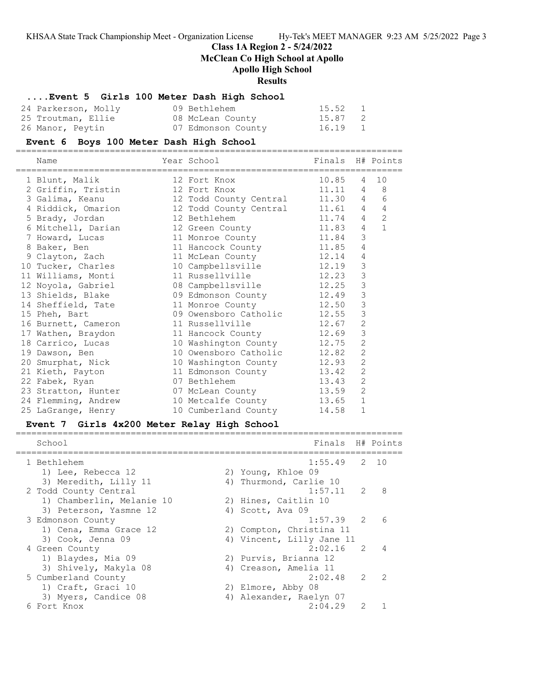# **Class 1A Region 2 - 5/24/2022**

**McClean Co High School at Apollo**

# **Apollo High School**

# **Results**

# **....Event 5 Girls 100 Meter Dash High School**

| 24 Parkerson, Molly | 09 Bethlehem       | 15.52 1 |  |
|---------------------|--------------------|---------|--|
| 25 Troutman, Ellie  | 08 McLean County   | 15.87 2 |  |
| 26 Manor, Peytin    | 07 Edmonson County | 16.19 1 |  |

### **Event 6 Boys 100 Meter Dash High School**

==========================================================================

| Name<br>============================ | Year School States School<br>______________________________________ | Finals H# Points |                |                |
|--------------------------------------|---------------------------------------------------------------------|------------------|----------------|----------------|
| 1 Blunt, Malik                       | 12 Fort Knox                                                        | 10.85            | $\overline{4}$ | 10             |
| 2 Griffin, Tristin                   | 12 Fort Knox                                                        | $11.11$ 4 8      |                |                |
| 3 Galima, Keanu                      | 12 Todd County Central                                              | 11.30 4          |                | 6              |
| 4 Riddick, Omarion                   | 12 Todd County Central 11.61 4                                      |                  |                | 4              |
| 5 Brady, Jordan                      | 12 Bethlehem<br>11.74                                               |                  | $\overline{4}$ | $\overline{2}$ |
| 6 Mitchell, Darian                   | 12 Green County 11.83                                               |                  | 4              | $\mathbf{1}$   |
| 7 Howard, Lucas                      | 11 Monroe County 11.84                                              |                  | 3              |                |
| 8 Baker, Ben                         | 11 Hancock County 11.85                                             |                  | 4              |                |
| 9 Clayton, Zach                      | 11 McLean County 12.14                                              |                  | $\overline{4}$ |                |
| 10 Tucker, Charles                   | 10 Campbellsville 12.19                                             |                  | 3              |                |
| 11 Williams, Monti                   | 11 Russellville 12.23                                               |                  | 3              |                |
| 12 Noyola, Gabriel                   | 08 Campbellsville 12.25                                             |                  | 3              |                |
| 13 Shields, Blake                    | 09 Edmonson County 12.49                                            |                  | 3              |                |
| 14 Sheffield, Tate                   | 11 Monroe County 12.50                                              |                  | 3              |                |
| 15 Pheh, Bart                        | 09 Owensboro Catholic 12.55                                         |                  | 3              |                |
| 16 Burnett, Cameron                  | 11 Russellville<br>12.67                                            |                  | $\overline{2}$ |                |
| 17 Wathen, Braydon                   | 11 Hancock County 12.69                                             |                  | 3              |                |
| 18 Carrico, Lucas                    | 10 Washington County 12.75                                          |                  | $\overline{c}$ |                |
| 19 Dawson, Ben                       | 10 Owensboro Catholic 12.82                                         |                  | $\overline{2}$ |                |
| 20 Smurphat, Nick                    | 10 Washington County 12.93                                          |                  | $\overline{2}$ |                |
| 21 Kieth, Payton                     | 11 Edmonson County 13.42                                            |                  | $\overline{c}$ |                |
| 22 Fabek, Ryan                       | 07 Bethlehem                                                        | 13.43            | $\overline{2}$ |                |
| 23 Stratton, Hunter                  | 07 McLean County                                                    | 13.59            | $\overline{2}$ |                |
| 24 Flemming, Andrew                  | 10 Metcalfe County 13.65                                            |                  | $\mathbf{1}$   |                |
| 25 LaGrange, Henry                   | 10 Cumberland County                                                | 14.58            | 1              |                |

# **Event 7 Girls 4x200 Meter Relay High School**

| School                    | Finals H# Points          |               |                |
|---------------------------|---------------------------|---------------|----------------|
| 1 Bethlehem               | $1:55.49$ 2 10            |               |                |
| 1) Lee, Rebecca 12        | 2) Young, Khloe 09        |               |                |
| 3) Meredith, Lilly 11     | 4) Thurmond, Carlie 10    |               |                |
| 2 Todd County Central     | 1:57.11                   | $\mathcal{L}$ | 8              |
| 1) Chamberlin, Melanie 10 | 2) Hines, Caitlin 10      |               |                |
| 3) Peterson, Yasmne 12    | 4) Scott, Ava 09          |               |                |
| 3 Edmonson County         | $1:57.39$ 2               |               | 6              |
| 1) Cena, Emma Grace 12    | 2) Compton, Christina 11  |               |                |
| 3) Cook, Jenna 09         | 4) Vincent, Lilly Jane 11 |               |                |
| 4 Green County            | $2:02.16$ 2               |               | $\overline{4}$ |
| 1) Blaydes, Mia 09        | 2) Purvis, Brianna 12     |               |                |
| 3) Shively, Makyla 08     | 4) Creason, Amelia 11     |               |                |
| 5 Cumberland County       | 2:02.48                   | $\mathcal{P}$ | $\overline{2}$ |
| 1) Craft, Graci 10        | 2) Elmore, Abby 08        |               |                |
| 3) Myers, Candice 08      | 4) Alexander, Raelyn 07   |               |                |
| 6 Fort Knox               | 2:04.29                   | $\mathcal{P}$ |                |
|                           |                           |               |                |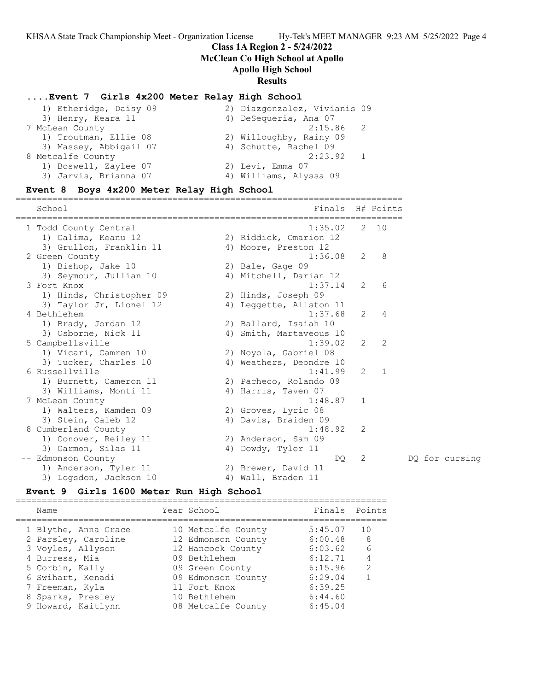### **Class 1A Region 2 - 5/24/2022**

**McClean Co High School at Apollo**

# **Apollo High School**

# **Results**

### **....Event 7 Girls 4x200 Meter Relay High School**

| 2) Diazgonzalez, Vivianis 09 |
|------------------------------|
| 4) DeSequeria, Ana 07        |
| $2:15.86$ 2                  |
| 2) Willoughby, Rainy 09      |
| 4) Schutte, Rachel 09        |
| 2:23.92                      |
| 2) Levi, Emma 07             |
| 4) Williams, Alyssa 09       |
|                              |

#### **Event 8 Boys 4x200 Meter Relay High School** ==========================================================================

School **Finals** H# Points ========================================================================== 1 Todd County Central 1:35.02 2 10 1) Galima, Keanu 12 2) Riddick, Omarion 12 3) Grullon, Franklin 11 (4) Moore, Preston 12 2 Green County 1:36.08 2 8 1) Bishop, Jake 10 2) Bale, Gage 09 3) Seymour, Jullian 10 4) Mitchell, Darian 12 3 Fort Knox 1:37.14 2 6 1) Hinds, Christopher 09 2) Hinds, Joseph 09 3) Taylor Jr, Lionel 12 4) Leggette, Allston 11 4 Bethlehem 1:37.68 2 4 1) Brady, Jordan 12 2) Ballard, Isaiah 10 3) Osborne, Nick 11 4) Smith, Martaveous 10 5 Campbellsville 1:39.02 2 2 1) Vicari, Camren 10 2) Noyola, Gabriel 08 3) Tucker, Charles 10 4) Weathers, Deondre 10 6 Russellville 1:41.99 2 1 1) Burnett, Cameron 11 2) Pacheco, Rolando 09 3) Williams, Monti 11 (4) Harris, Taven 07 7 McLean County 1:48.87 1 1) Walters, Kamden 09 2) Groves, Lyric 08 3) Stein, Caleb 12 (4) Davis, Braiden 09 8 Cumberland County 1:48.92 2 1) Conover, Reiley 11 2) Anderson, Sam 09 3) Garmon, Silas 11 4) Dowdy, Tyler 11 -- Edmonson County DQ 2 DQ for cursing 1) Anderson, Tyler 11 2) Brewer, David 11 3) Logsdon, Jackson 10  $\hskip1cm$  4) Wall, Braden 11

#### **Event 9 Girls 1600 Meter Run High School**

# ======================================================================= Year School Finals Points ======================================================================= 1 Blythe, Anna Grace 10 Metcalfe County 5:45.07 10 2 Parsley, Caroline 12 Edmonson County 6:00.48 8 3 Voyles, Allyson 12 Hancock County 6:03.62 6

|                    |                    | -----   |   |
|--------------------|--------------------|---------|---|
| 4 Burress, Mia     | 09 Bethlehem       | 6:12.71 | 4 |
| 5 Corbin, Kally    | 09 Green County    | 6:15.96 | 2 |
| 6 Swihart, Kenadi  | 09 Edmonson County | 6:29.04 |   |
| 7 Freeman, Kyla    | 11 Fort Knox       | 6:39.25 |   |
| 8 Sparks, Presley  | 10 Bethlehem       | 6:44.60 |   |
| 9 Howard, Kaitlynn | 08 Metcalfe County | 6:45.04 |   |
|                    |                    |         |   |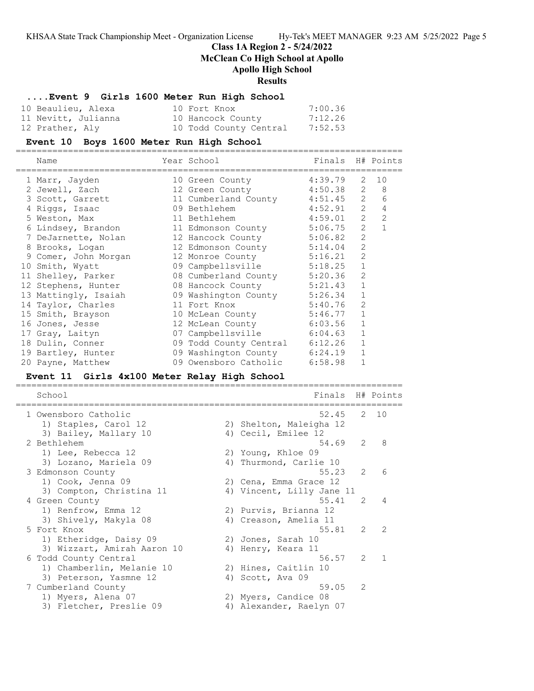### **Class 1A Region 2 - 5/24/2022**

**McClean Co High School at Apollo**

### **Apollo High School**

#### **Results**

#### **....Event 9 Girls 1600 Meter Run High School**

| 10 Beaulieu, Alexa  | 10 Fort Knox           | 7:00.36 |
|---------------------|------------------------|---------|
| 11 Nevitt, Julianna | 10 Hancock County      | 7:12.26 |
| 12 Prather, Aly     | 10 Todd County Central | 7:52.53 |

# **Event 10 Boys 1600 Meter Run High School**

==========================================================================

| Name                 | Year School                    | Finals H# Points |                |                |
|----------------------|--------------------------------|------------------|----------------|----------------|
| 1 Marr, Jayden       | 10 Green County                | 4:39.79          |                | 2 10           |
| 2 Jewell, Zach       | 12 Green County                | 4:50.38          | 2              | 8              |
| 3 Scott, Garrett     | 11 Cumberland County 4:51.45   |                  | 2              | 6              |
| 4 Riggs, Isaac       | 09 Bethlehem                   | 4:52.91          | 2              | $\overline{4}$ |
| 5 Weston, Max        | 11 Bethlehem                   | 4:59.01          | $\overline{2}$ | $\overline{2}$ |
| 6 Lindsey, Brandon   | 11 Edmonson County             | 5:06.75          | 2              |                |
| 7 DeJarnette, Nolan  | 12 Hancock County 5:06.82      |                  | 2              |                |
| 8 Brooks, Logan      | 12 Edmonson County 5:14.04     |                  | $\overline{2}$ |                |
| 9 Comer, John Morgan | 12 Monroe County               | 5:16.21          | $\overline{2}$ |                |
| 10 Smith, Wyatt      | 09 Campbellsville 5:18.25      |                  | $\mathbf{1}$   |                |
| 11 Shelley, Parker   | 08 Cumberland County 5:20.36   |                  | $\overline{2}$ |                |
| 12 Stephens, Hunter  | 08 Hancock County              | 5:21.43          | $\mathbf{1}$   |                |
| 13 Mattingly, Isaiah | 09 Washington County 5:26.34   |                  | $\mathbf 1$    |                |
| 14 Taylor, Charles   | 5:40.76<br>11 Fort Knox        |                  | $\overline{2}$ |                |
| 15 Smith, Brayson    | 10 McLean County               | 5:46.77          | $\mathbf{1}$   |                |
| 16 Jones, Jesse      | 12 McLean County               | 6:03.56          | $\mathbf{1}$   |                |
| 17 Gray, Laityn      | 07 Campbellsville 6:04.63      |                  | $\mathbf{1}$   |                |
| 18 Dulin, Conner     | 09 Todd County Central 6:12.26 |                  | $\mathbf{1}$   |                |
| 19 Bartley, Hunter   | 09 Washington County 6:24.19   |                  | $\mathbf{1}$   |                |
| 20 Payne, Matthew    | 09 Owensboro Catholic          | 6:58.98          |                |                |

#### **Event 11 Girls 4x100 Meter Relay High School**

========================================================================== School **Finals** H# Points ========================================================================== 1 Owensboro Catholic 1) Staples, Carol 12 2) Shelton, Maleigha 12 3) Bailey, Mallary 10 (4) Cecil, Emilee 12 2 Bethlehem 54.69 2 8 1) Lee, Rebecca 12 2) Young, Khloe 09 3) Lozano, Mariela 09 4) Thurmond, Carlie 10 3 Edmonson County 55.23 2 6 1) Cook, Jenna 09 2) Cena, Emma Grace 12 3) Compton, Christina 11 4) Vincent, Lilly Jane 11 4 Green County 55.41 2 4 1) Renfrow, Emma 12 2) Purvis, Brianna 12 3) Shively, Makyla 08 4) Creason, Amelia 11 5 Fort Knox 55.81 2 2 1) Etheridge, Daisy 09  $\hskip1cm$  2) Jones, Sarah 10 3) Wizzart, Amirah Aaron 10  $\hskip10mm$  4) Henry, Keara 11 6 Todd County Central 56.57 2 1 1) Chamberlin, Melanie 10 2) Hines, Caitlin 10 3) Peterson, Yasmne 12 (4) Scott, Ava 09 7 Cumberland County 59.05 2 1) Myers, Alena 07 2) Myers, Candice 08 3) Fletcher, Preslie 09 4) Alexander, Raelyn 07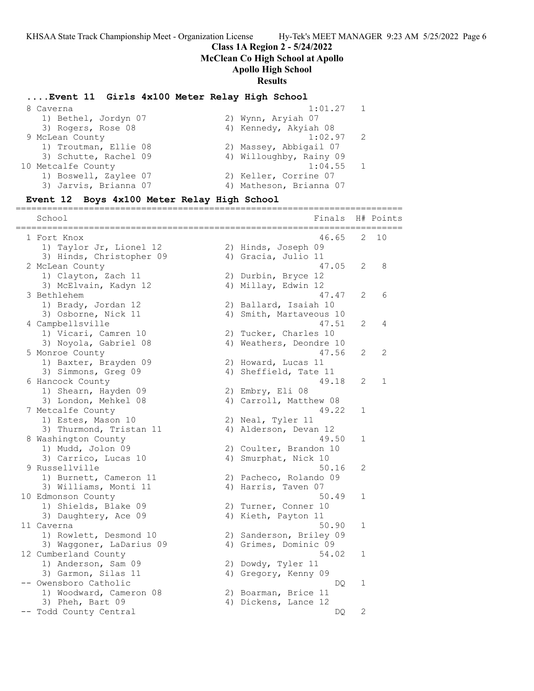**Class 1A Region 2 - 5/24/2022**

**McClean Co High School at Apollo**

# **Apollo High School**

# **Results**

#### **....Event 11 Girls 4x100 Meter Relay High School**

|                       | 1:01.27 | $\overline{1}$                                                                                                                                                                     |
|-----------------------|---------|------------------------------------------------------------------------------------------------------------------------------------------------------------------------------------|
| 1) Bethel, Jordyn 07  |         |                                                                                                                                                                                    |
| 3) Rogers, Rose 08    |         |                                                                                                                                                                                    |
|                       |         |                                                                                                                                                                                    |
| 1) Troutman, Ellie 08 |         |                                                                                                                                                                                    |
| 3) Schutte, Rachel 09 |         |                                                                                                                                                                                    |
|                       |         |                                                                                                                                                                                    |
| 1) Boswell, Zaylee 07 |         |                                                                                                                                                                                    |
| 3) Jarvis, Brianna 07 |         |                                                                                                                                                                                    |
|                       |         | 2) Wynn, Aryiah 07<br>4) Kennedy, Akyiah 08<br>$1:02.97$ 2<br>2) Massey, Abbigail 07<br>4) Willoughby, Rainy 09<br>$1:04.55$ 1<br>2) Keller, Corrine 07<br>4) Matheson, Brianna 07 |

#### **Event 12 Boys 4x100 Meter Relay High School**

========================================================================== School **Finals H**# Points ========================================================================== 1 Fort Knox 46.65 2 10 1) Taylor Jr, Lionel 12 (2) Hinds, Joseph 09 3) Hinds, Christopher 09 (4) Gracia, Julio 11 2 McLean County 47.05 2 8 1) Clayton, Zach 11 2) Durbin, Bryce 12 3) McElvain, Kadyn 12 14) Millay, Edwin 12 3 Bethlehem 47.47 2 6 1) Brady, Jordan 12 2) Ballard, Isaiah 10 3) Osborne, Nick 11 4) Smith, Martaveous 10 4 Campbellsville 47.51 2 4 1) Vicari, Camren 10 2) Tucker, Charles 10 3) Noyola, Gabriel 08 4) Weathers, Deondre 10 5 Monroe County 47.56 2 2 1) Baxter, Brayden 09 12) Howard, Lucas 11 3) Simmons, Greg 09 4) Sheffield, Tate 11 6 Hancock County 49.18 2 1 1) Shearn, Hayden 09 2) Embry, Eli 08 3) London, Mehkel 08 4) Carroll, Matthew 08 7 Metcalfe County 2008 12:00 12:00 12:00 12:00 12:00 12:00 12:00 12:00 12:00 12:00 12:00 12:00 12:00 12:00 12:0 1) Estes, Mason 10 2) Neal, Tyler 11 3) Thurmond, Tristan 11 4) Alderson, Devan 12 8 Washington County 49.50 1 1) Mudd, Jolon 09 2) Coulter, Brandon 10 3) Carrico, Lucas 10 (4) Smurphat, Nick 10 9 Russellville 50.16 2 1) Burnett, Cameron 11 2) Pacheco, Rolando 09 3) Williams, Monti 11 (4) Harris, Taven 07 10 Edmonson County 60.49 1 1) Shields, Blake 09 2) Turner, Conner 10 3) Daughtery, Ace 09 14) Kieth, Payton 11 11 Caverna 50.90 1 1) Rowlett, Desmond 10 2) Sanderson, Briley 09 3) Waggoner, LaDarius 09 4) Grimes, Dominic 09 12 Cumberland County 54.02 1 1) Anderson, Sam 09 2) Dowdy, Tyler 11 3) Garmon, Silas 11 (4) Gregory, Kenny 09 -- Owensboro Catholic DQ 1 1) Woodward, Cameron 08 (2) Boarman, Brice 11 3) Pheh, Bart 09 (4) Dickens, Lance 12 3) Pheh, Bart 09 (a) Dickens, Lance 12<br>-- Todd County Central (b) Dickens, Lance 12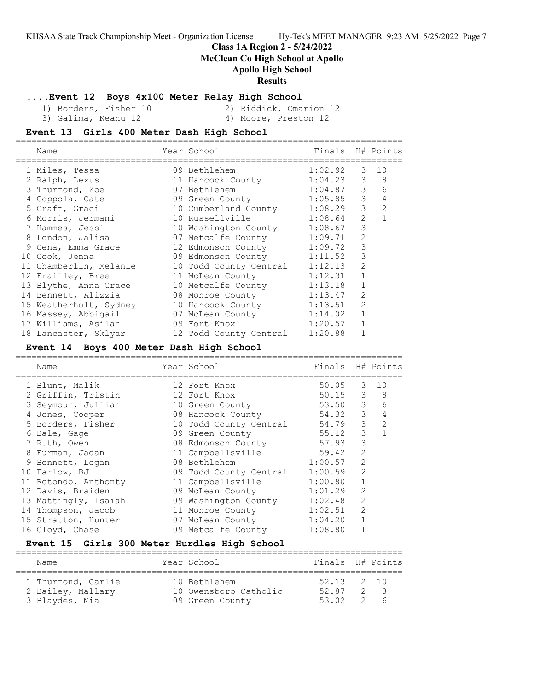# **Class 1A Region 2 - 5/24/2022**

**McClean Co High School at Apollo**

# **Apollo High School**

# **Results**

# **....Event 12 Boys 4x100 Meter Relay High School**

 1) Borders, Fisher 10 2) Riddick, Omarion 12 3) Galima, Keanu 12 (4) Moore, Preston 12

#### **Event 13 Girls 400 Meter Dash High School** ==========================================================================

| Name                   | Year School<br>-------------- | Finals H# Points |                |                |
|------------------------|-------------------------------|------------------|----------------|----------------|
| 1 Miles, Tessa         | 09 Bethlehem                  | 1:02.92          |                | $3 - 10$       |
| 2 Ralph, Lexus         | 11 Hancock County             | 1:04.23          | 3              | 8              |
| 3 Thurmond, Zoe        | 07 Bethlehem                  | 1:04.87 3        |                | 6              |
| 4 Coppola, Cate        | 09 Green County 1:05.85       |                  | $\mathcal{S}$  | 4              |
| 5 Craft, Graci         | 10 Cumberland County 1:08.29  |                  | $\mathcal{S}$  | 2              |
| 6 Morris, Jermani      | 10 Russellville 1:08.64       |                  | 2              | $\overline{1}$ |
| 7 Hammes, Jessi        | 10 Washington County          | 1:08.67          | 3              |                |
| 8 London, Jalisa       | 07 Metcalfe County            | 1:09.71          | $\overline{2}$ |                |
| 9 Cena, Emma Grace     | 12 Edmonson County            | 1:09.72          | 3              |                |
| 10 Cook, Jenna         | 09 Edmonson County            | 1:11.52          | 3              |                |
| 11 Chamberlin, Melanie | 10 Todd County Central        | 1:12.13          | $\overline{2}$ |                |
| 12 Frailley, Bree      | 11 McLean County              | 1:12.31          | $\mathbf{1}$   |                |
| 13 Blythe, Anna Grace  | 10 Metcalfe County            | 1:13.18          | $\mathbf{1}$   |                |
| 14 Bennett, Alizzia    | 08 Monroe County              | 1:13.47          | $\overline{2}$ |                |
| 15 Weatherholt, Sydney | 10 Hancock County             | 1:13.51          | $\overline{2}$ |                |
| 16 Massey, Abbigail    | 07 McLean County              | 1:14.02          | $\mathbf 1$    |                |
| 17 Williams, Asilah    | 09 Fort Knox                  | 1:20.57          |                |                |
| 18 Lancaster, Sklyar   | 12 Todd County Central        | 1:20.88          |                |                |

# **Event 14 Boys 400 Meter Dash High School**

| H# Points      |
|----------------|
| 10             |
| 8              |
| 6              |
| 4              |
| $\overline{2}$ |
|                |
|                |
|                |
|                |
|                |
|                |
|                |
|                |
|                |
|                |
|                |
|                |

# **Event 15 Girls 300 Meter Hurdles High School**

==========================================================================

| Name                                    | Year School                           | Finals H# Points      |          |          |
|-----------------------------------------|---------------------------------------|-----------------------|----------|----------|
| 1 Thurmond, Carlie<br>2 Bailey, Mallary | 10 Bethlehem<br>10 Owensboro Catholic | $52.13$ 2 10<br>52.87 |          | 2 8      |
| 3 Blaydes, Mia                          | 09 Green County                       | 53 02                 | $\sim$ 2 | $\sim$ 6 |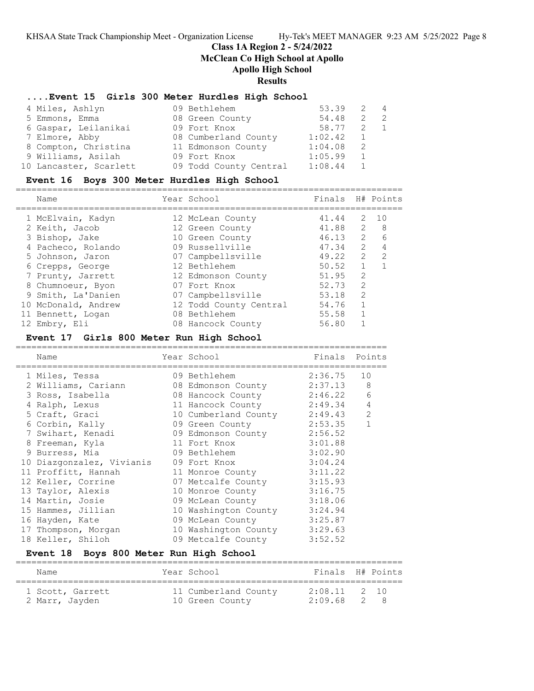# **Class 1A Region 2 - 5/24/2022 McClean Co High School at Apollo**

# **Apollo High School**

# **Results**

# **....Event 15 Girls 300 Meter Hurdles High School**

| 4 Miles, Ashlyn        | 09 Bethlehem           | 53.39   | $\mathcal{L}$ | $\sim$ 4 |
|------------------------|------------------------|---------|---------------|----------|
| 5 Emmons, Emma         | 08 Green County        | 54.48   | 2             |          |
| 6 Gaspar, Leilanikai   | 09 Fort Knox           | 58.77   | 2 1           |          |
| 7 Elmore, Abby         | 08 Cumberland County   | 1:02.42 |               |          |
| 8 Compton, Christina   | 11 Edmonson County     | 1:04.08 |               |          |
| 9 Williams, Asilah     | 09 Fort Knox           | 1:05.99 |               |          |
| 10 Lancaster, Scarlett | 09 Todd County Central | 1:08.44 |               |          |

# **Event 16 Boys 300 Meter Hurdles High School**

| Name                | Year School            | Finals H# Points |               |                 |
|---------------------|------------------------|------------------|---------------|-----------------|
| 1 McElvain, Kadyn   | 12 McLean County       | 41.44            | 2             | 10              |
| 2 Keith, Jacob      | 12 Green County        | 41.88            | 2             | - 8             |
| 3 Bishop, Jake      | 10 Green County        | 46.13            | 2             | $6\overline{6}$ |
| 4 Pacheco, Rolando  | 09 Russellville        | 47.34            | 2             | $\overline{4}$  |
| 5 Johnson, Jaron    | 07 Campbellsville      | 49.22            | 2             | 2               |
| 6 Crepps, George    | 12 Bethlehem           | 50.52            | $\mathbf{1}$  | $\overline{1}$  |
| 7 Prunty, Jarrett   | 12 Edmonson County     | 51.95            | 2             |                 |
| 8 Chumnoeur, Byon   | 07 Fort Knox           | 52.73            | 2             |                 |
| 9 Smith, La'Danien  | 07 Campbellsville      | 53.18            | $\mathcal{L}$ |                 |
| 10 McDonald, Andrew | 12 Todd County Central | 54.76            | $\mathbf{1}$  |                 |
| 11 Bennett, Logan   | 08 Bethlehem           | 55.58            |               |                 |
| 12 Embry, Eli       | 08 Hancock County      | 56.80            |               |                 |

# **Event 17 Girls 800 Meter Run High School**

| Name                      | Year School               | Finals Points |    |
|---------------------------|---------------------------|---------------|----|
| 1 Miles, Tessa            | 09 Bethlehem              | 2:36.75       | 10 |
| 2 Williams, Cariann       | 08 Edmonson County        | 2:37.13       | 8  |
| 3 Ross, Isabella          | 08 Hancock County         | 2:46.22       | 6  |
| 4 Ralph, Lexus            | 11 Hancock County 2:49.34 |               | 4  |
| 5 Craft, Graci            | 10 Cumberland County      | 2:49.43       | 2  |
| 6 Corbin, Kally           | 09 Green County           | 2:53.35       |    |
| 7 Swihart, Kenadi         | 09 Edmonson County        | 2:56.52       |    |
| 8 Freeman, Kyla           | 11 Fort Knox              | 3:01.88       |    |
| 9 Burress, Mia            | 09 Bethlehem              | 3:02.90       |    |
| 10 Diazgonzalez, Vivianis | 09 Fort Knox              | 3:04.24       |    |
| 11 Proffitt, Hannah       | 11 Monroe County          | 3:11.22       |    |
| 12 Keller, Corrine        | 07 Metcalfe County        | 3:15.93       |    |
| 13 Taylor, Alexis         | 10 Monroe County          | 3:16.75       |    |
| 14 Martin, Josie          | 09 McLean County          | 3:18.06       |    |
| 15 Hammes, Jillian        | 10 Washington County      | 3:24.94       |    |
| 16 Hayden, Kate           | 09 McLean County          | 3:25.87       |    |
| 17 Thompson, Morgan       | 10 Washington County      | 3:29.63       |    |
| 18 Keller, Shiloh         | 09 Metcalfe County        | 3:52.52       |    |
|                           |                           |               |    |

# **Event 18 Boys 800 Meter Run High School**

| Name                               | Year School |                                         | Finals H# Points                |  |
|------------------------------------|-------------|-----------------------------------------|---------------------------------|--|
| 1 Scott, Garrett<br>2 Marr, Jayden |             | 11 Cumberland County<br>10 Green County | $2:08.11$ 2 10<br>$2:09.68$ 2 8 |  |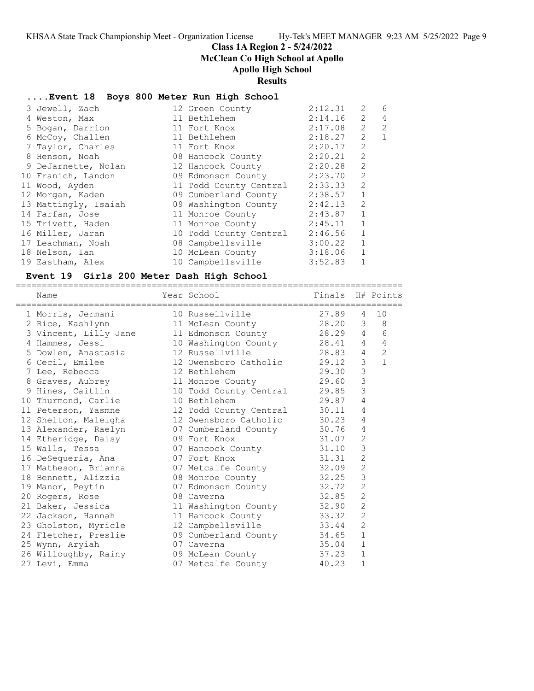### **Class 1A Region 2 - 5/24/2022**

**McClean Co High School at Apollo**

# **Apollo High School**

#### **Results**

### **....Event 18 Boys 800 Meter Run High School**

|                                                                                                                                                                                                                                                                                                                                                  | 2:12.31                                                                                                                                                                                                                                                                                                                             | 2                                                                                                       | 6                                                                   |
|--------------------------------------------------------------------------------------------------------------------------------------------------------------------------------------------------------------------------------------------------------------------------------------------------------------------------------------------------|-------------------------------------------------------------------------------------------------------------------------------------------------------------------------------------------------------------------------------------------------------------------------------------------------------------------------------------|---------------------------------------------------------------------------------------------------------|---------------------------------------------------------------------|
|                                                                                                                                                                                                                                                                                                                                                  |                                                                                                                                                                                                                                                                                                                                     | 2                                                                                                       | $\overline{4}$                                                      |
|                                                                                                                                                                                                                                                                                                                                                  |                                                                                                                                                                                                                                                                                                                                     | 2                                                                                                       | 2                                                                   |
|                                                                                                                                                                                                                                                                                                                                                  |                                                                                                                                                                                                                                                                                                                                     |                                                                                                         | $\mathbf{1}$                                                        |
|                                                                                                                                                                                                                                                                                                                                                  | 2:20.17                                                                                                                                                                                                                                                                                                                             | 2                                                                                                       |                                                                     |
|                                                                                                                                                                                                                                                                                                                                                  |                                                                                                                                                                                                                                                                                                                                     | 2                                                                                                       |                                                                     |
|                                                                                                                                                                                                                                                                                                                                                  |                                                                                                                                                                                                                                                                                                                                     | 2                                                                                                       |                                                                     |
|                                                                                                                                                                                                                                                                                                                                                  |                                                                                                                                                                                                                                                                                                                                     | 2                                                                                                       |                                                                     |
|                                                                                                                                                                                                                                                                                                                                                  |                                                                                                                                                                                                                                                                                                                                     | $\overline{c}$                                                                                          |                                                                     |
|                                                                                                                                                                                                                                                                                                                                                  |                                                                                                                                                                                                                                                                                                                                     | $\mathbf{1}$                                                                                            |                                                                     |
|                                                                                                                                                                                                                                                                                                                                                  |                                                                                                                                                                                                                                                                                                                                     | 2                                                                                                       |                                                                     |
|                                                                                                                                                                                                                                                                                                                                                  |                                                                                                                                                                                                                                                                                                                                     | $\mathbf{1}$                                                                                            |                                                                     |
|                                                                                                                                                                                                                                                                                                                                                  |                                                                                                                                                                                                                                                                                                                                     | $\mathbf{1}$                                                                                            |                                                                     |
|                                                                                                                                                                                                                                                                                                                                                  | 2:46.56                                                                                                                                                                                                                                                                                                                             | $\mathbf{1}$                                                                                            |                                                                     |
|                                                                                                                                                                                                                                                                                                                                                  |                                                                                                                                                                                                                                                                                                                                     | $\mathbf{1}$                                                                                            |                                                                     |
|                                                                                                                                                                                                                                                                                                                                                  |                                                                                                                                                                                                                                                                                                                                     | $\mathbf{1}$                                                                                            |                                                                     |
|                                                                                                                                                                                                                                                                                                                                                  |                                                                                                                                                                                                                                                                                                                                     | $\mathbf{1}$                                                                                            |                                                                     |
| 3 Jewell, Zach<br>4 Weston, Max<br>5 Bogan, Darrion<br>6 McCoy, Challen<br>7 Taylor, Charles<br>8 Henson, Noah<br>9 DeJarnette, Nolan<br>10 Franich, Landon<br>11 Wood, Ayden<br>12 Morgan, Kaden<br>13 Mattingly, Isaiah<br>14 Farfan, Jose<br>15 Trivett, Haden<br>16 Miller, Jaran<br>17 Leachman, Noah<br>18 Nelson, Ian<br>19 Eastham, Alex | 12 Green County<br>11 Bethlehem<br>11 Fort Knox<br>11 Bethlehem<br>11 Fort Knox<br>08 Hancock County<br>12 Hancock County<br>11 Todd County Central<br>09 Cumberland County<br>09 Washington County<br>11 Monroe County<br>11 Monroe County<br>10 Todd County Central<br>08 Campbellsville<br>10 McLean County<br>10 Campbellsville | 2:20.21<br>2:20.28<br>09 Edmonson County 2:23.70<br>2:33.33<br>2:38.57<br>3:00.22<br>3:18.06<br>3:52.83 | 2:14.16<br>2:17.08<br>2<br>2:18.27<br>2:42.13<br>2:43.87<br>2:45.11 |

### **Event 19 Girls 200 Meter Dash High School**

========================================================================== Name Year School Finals H# Points ========================================================================== 1 Morris, Jermani 10 Russellville 27.89 4 10 2 Rice, Kashlynn 11 McLean County 28.20 3 8 3 Vincent, Lilly Jane 11 Edmonson County 28.29 4 6 4 Hammes, Jessi 10 Washington County 28.41 4 4 5 Dowlen, Anastasia 12 Russellville 28.83 4 2 6 Cecil, Emilee 12 Owensboro Catholic 29.12 3 1 7 Lee, Rebecca 12 Bethlehem 29.30 3 8 Graves, Aubrey 11 Monroe County 29.60 3 9 Hines, Caitlin 10 Todd County Central 29.85 3 10 Thurmond, Carlie 10 Bethlehem 29.87 4 11 Peterson, Yasmne 12 Todd County Central 30.11 4 12 Shelton, Maleigha 12 Owensboro Catholic 30.23 4 13 Alexander, Raelyn 07 Cumberland County 30.76 4 14 Etheridge, Daisy 09 Fort Knox 31.07 2 15 Walls, Tessa 07 Hancock County 31.10 3 16 DeSequeria, Ana 07 Fort Knox 31.31 2 17 Matheson, Brianna 07 Metcalfe County 32.09 2 18 Bennett, Alizzia 08 Monroe County 32.25 3 19 Manor, Peytin **19 Manor, Peytin 19 Manor, Peytin 19 Manor**, Peytin **19 Manor**, 20 Manor, 20 Manor, 20 Manor, 20 Manor, 20 Manor, 20 Manor, 20 Manor, 20 Manor, 20 Manor, 20 Manor, 20 Manor, 20 Manor, 20 Manor, 20 Man 20 Rogers, Rose 08 Caverna 32.85 2 21 Baker, Jessica 11 Washington County 32.90 2 22 Jackson, Hannah 11 Hancock County 33.32 2 23 Gholston, Myricle 12 Campbellsville 33.44 2 24 Fletcher, Preslie and O9 Cumberland County 34.65 1 25 Wynn, Aryiah 07 Caverna 35.04 1 26 Willoughby, Rainy 09 McLean County 37.23 1 27 Levi, Emma 07 Metcalfe County 40.23 1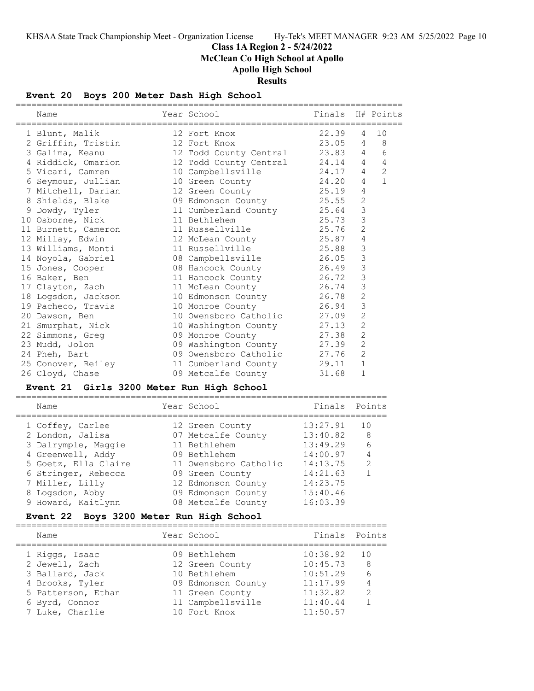# **Class 1A Region 2 - 5/24/2022 McClean Co High School at Apollo**

**Apollo High School**

**Results**

# **Event 20 Boys 200 Meter Dash High School**

| Name                                      | Year School                     | Finals<br>======================== |                | H# Points      |
|-------------------------------------------|---------------------------------|------------------------------------|----------------|----------------|
| 1 Blunt, Malik                            | 12 Fort Knox                    | 22.39                              | 4              | 10             |
| 2 Griffin, Tristin                        | 12 Fort Knox                    | 23.05                              | 4              | 8              |
| 3 Galima, Keanu                           | 12 Todd County Central          | 23.83                              | 4              | 6              |
| 4 Riddick, Omarion                        | 12 Todd County Central          | 24.14                              | 4              | $\overline{4}$ |
| 5 Vicari, Camren                          | 10 Campbellsville               | 24.17                              | 4              | 2              |
| 6 Seymour, Jullian                        | 10 Green County                 | 24.20                              | 4              | $\mathbf{1}$   |
| 7 Mitchell, Darian                        | 12 Green County                 | 25.19                              | 4              |                |
| 8 Shields, Blake                          | 09 Edmonson County              | 25.55                              | 2              |                |
| 9 Dowdy, Tyler                            | 11 Cumberland County            | 25.64                              | 3              |                |
| 10 Osborne, Nick                          | 11 Bethlehem                    | 25.73                              | 3              |                |
| 11 Burnett, Cameron                       | 11 Russellville                 | 25.76                              | $\overline{2}$ |                |
| 12 Millay, Edwin                          | 12 McLean County                | 25.87                              | $\overline{4}$ |                |
| 13 Williams, Monti                        | 11 Russellville                 | 25.88                              | 3              |                |
| 14 Noyola, Gabriel                        | 08 Campbellsville               | 26.05                              | 3              |                |
| 15 Jones, Cooper                          | 08 Hancock County               | 26.49                              | 3              |                |
| 16 Baker, Ben                             | 11 Hancock County               | 26.72                              | 3              |                |
| 17 Clayton, Zach                          | 11 McLean County                | 26.74                              | 3              |                |
| 18 Logsdon, Jackson                       | 10 Edmonson County              | 26.78                              | $\mathbf{2}$   |                |
| 19 Pacheco, Travis                        | 10 Monroe County                | 26.94                              | 3              |                |
| 20 Dawson, Ben                            | 10 Owensboro Catholic           | 27.09                              | $\mathbf{2}$   |                |
| 21 Smurphat, Nick                         | 10 Washington County            | 27.13                              | $\overline{c}$ |                |
| 22 Simmons, Greg                          | 09 Monroe County                | 27.38                              | $\overline{c}$ |                |
| 23 Mudd, Jolon                            | 09 Washington County            | 27.39                              | $\overline{2}$ |                |
| 24 Pheh, Bart                             | 09 Owensboro Catholic           | 27.76                              | 2              |                |
| 25 Conover, Reiley                        | 11 Cumberland County            | 29.11                              | 1              |                |
| 26 Cloyd, Chase                           | 09 Metcalfe County              | 31.68                              | 1              |                |
| Event 21 Girls 3200 Meter Run High School |                                 |                                    |                |                |
| Name                                      | Year School                     | Finals                             | Points         |                |
| 1 Coffey, Carlee                          | 12 Green County                 | 13:27.91                           | 10             |                |
| 2 London, Jalisa                          | 07 Metcalfe County              | 13:40.82                           | 8              |                |
| 3 Dalrymple, Maggie                       | 11 Bethlehem                    | 13:49.29                           | 6              |                |
| 4 Greenwell, Addy                         | 09 Bethlehem                    | 14:00.97                           | 4              |                |
| 5 Goetz, Ella Claire                      | 11 Owensboro Catholic           | 14:13.75                           | $\mathbf{2}$   |                |
| 6 Stringer, Rebecca                       | 09 Green County                 | 14:21.63                           | $\mathbf{1}$   |                |
| 7 Miller, Lilly                           | 12 Edmonson County              | 14:23.75                           |                |                |
| 8 Logsdon, Abby                           | 09 Edmonson County              | 15:40.46                           |                |                |
| 9 Howard, Kaitlynn                        | 08 Metcalfe County              | 16:03.39                           |                |                |
| Event 22                                  | Boys 3200 Meter Run High School |                                    |                |                |
| Name                                      | Year School                     | Finals                             | Points         |                |
|                                           |                                 |                                    |                |                |
| 1 Riggs, Isaac                            | 09 Bethlehem                    | 10:38.92                           | 10             |                |
| 2 Jewell, Zach                            | 12 Green County                 | 10:45.73                           | 8              |                |
| 3 Ballard, Jack                           | 10 Bethlehem                    | 10:51.29                           | 6              |                |
| 4 Brooks, Tyler                           | 09 Edmonson County              | 11:17.99                           | 4              |                |
| 5 Patterson, Ethan                        | 11 Green County                 | 11:32.82                           | 2              |                |
| 6 Byrd, Connor                            | 11 Campbellsville               | 11:40.44                           | 1              |                |
| 7 Luke, Charlie                           | 10 Fort Knox                    | 11:50.57                           |                |                |

==========================================================================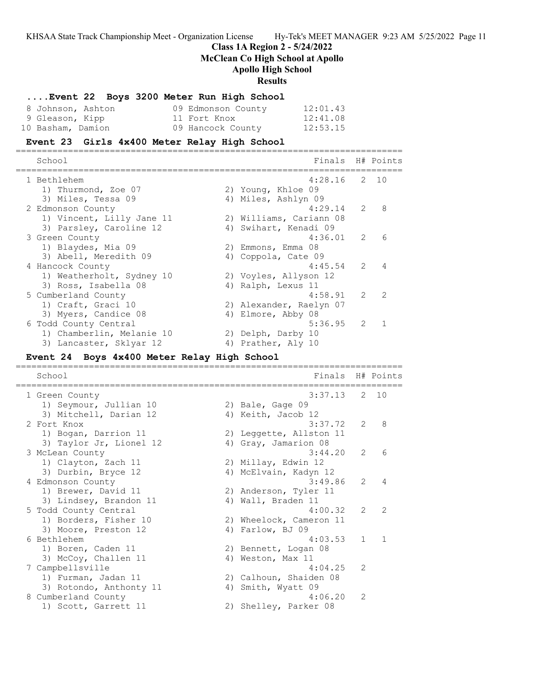**Class 1A Region 2 - 5/24/2022**

**McClean Co High School at Apollo**

### **Apollo High School**

#### **Results**

|                   |  |                    | Event 22 Boys 3200 Meter Run High School |          |
|-------------------|--|--------------------|------------------------------------------|----------|
| 8 Johnson, Ashton |  | 09 Edmonson County |                                          | 12:01.43 |
| 9 Gleason, Kipp   |  | 11 Fort Knox       |                                          | 12:41.08 |
| 10 Basham, Damion |  | 09 Hancock County  |                                          | 12:53.15 |

#### **Event 23 Girls 4x400 Meter Relay High School**

========================================================================== School Finals H# Points

| 201100 T                  |    | $1 + 114 + 5$           |               | H# POINLS      |
|---------------------------|----|-------------------------|---------------|----------------|
| 1 Bethlehem               |    | $4:28.16$ 2 10          |               |                |
| 1) Thurmond, Zoe 07       |    | 2) Young, Khloe 09      |               |                |
| 3) Miles, Tessa 09        |    | 4) Miles, Ashlyn 09     |               |                |
| 2 Edmonson County         |    | 4:29.14                 | $\mathcal{L}$ | $\mathcal{B}$  |
| 1) Vincent, Lilly Jane 11 |    | 2) Williams, Cariann 08 |               |                |
| 3) Parsley, Caroline 12   | 4) | Swihart, Kenadi 09      |               |                |
| 3 Green County            |    | 4:36.01                 | $\mathcal{L}$ | 6              |
| 1) Blaydes, Mia 09        |    | 2) Emmons, Emma 08      |               |                |
| 3) Abell, Meredith 09     |    | 4) Coppola, Cate 09     |               |                |
| 4 Hancock County          |    | $4:45.54$ 2             |               | $\overline{4}$ |
| 1) Weatherholt, Sydney 10 |    | 2) Voyles, Allyson 12   |               |                |
| 3) Ross, Isabella 08      |    | 4) Ralph, Lexus 11      |               |                |
| 5 Cumberland County       |    | 4:58.91                 | 2             | $\overline{2}$ |
| 1) Craft, Graci 10        |    | 2) Alexander, Raelyn 07 |               |                |
| 3) Myers, Candice 08      |    | 4) Elmore, Abby 08      |               |                |
| 6 Todd County Central     |    | $5:36.95$ 2             |               |                |
| 1) Chamberlin, Melanie 10 |    | 2) Delph, Darby 10      |               |                |
| 3) Lancaster, Sklyar 12   |    | 4) Prather, Aly 10      |               |                |
|                           |    |                         |               |                |

#### **Event 24 Boys 4x400 Meter Relay High School**

========================================================================== School **Finals H**# Points ========================================================================== 1 Green County 3:37.13 2 10 1) Seymour, Jullian 10 (2) Bale, Gage 09 3) Mitchell, Darian 12 4) Keith, Jacob 12 2 Fort Knox 3:37.72 2 8 1) Bogan, Darrion 11 2) Leggette, Allston 11 3) Taylor Jr, Lionel 12 (4) Gray, Jamarion 08 3 McLean County 3:44.20 2 6 1) Clayton, Zach 11 2) Millay, Edwin 12 3) Durbin, Bryce 12 4) McElvain, Kadyn 12 4 Edmonson County 3:49.86 2 4 1) Brewer, David 11 2) Anderson, Tyler 11 3) Lindsey, Brandon 11 (4) Wall, Braden 11 5 Todd County Central 4:00.32 2 2 1) Borders, Fisher 10 2) Wheelock, Cameron 11 3) Moore, Preston 12 (4) Farlow, BJ 09 6 Bethlehem 4:03.53 1 1 1) Boren, Caden 11 2) Bennett, Logan 08 3) McCoy, Challen 11 4) Weston, Max 11 7 Campbellsville 4:04.25 2 1) Furman, Jadan 11 2) Calhoun, Shaiden 08 3) Rotondo, Anthonty 11 4) Smith, Wyatt 09 8 Cumberland County 4:06.20 2

1) Scott, Garrett 11 2) Shelley, Parker 08